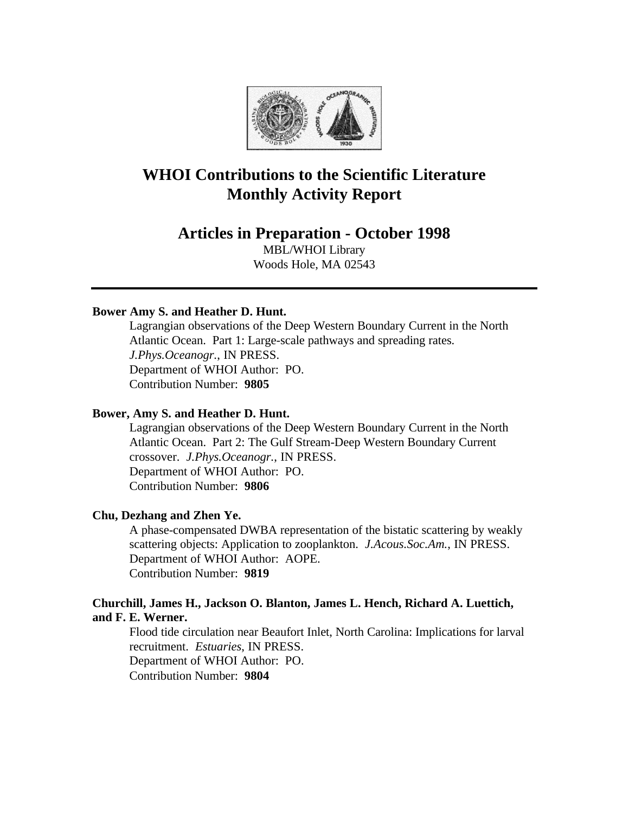

# **WHOI Contributions to the Scientific Literature Monthly Activity Report**

## **Articles in Preparation - October 1998**

MBL/WHOI Library Woods Hole, MA 02543

## **Bower Amy S. and Heather D. Hunt.**

Lagrangian observations of the Deep Western Boundary Current in the North Atlantic Ocean. Part 1: Large-scale pathways and spreading rates. *J.Phys.Oceanogr.*, IN PRESS. Department of WHOI Author: PO. Contribution Number: **9805**

#### **Bower, Amy S. and Heather D. Hunt.**

Lagrangian observations of the Deep Western Boundary Current in the North Atlantic Ocean. Part 2: The Gulf Stream-Deep Western Boundary Current crossover. *J.Phys.Oceanogr.*, IN PRESS. Department of WHOI Author: PO. Contribution Number: **9806**

#### **Chu, Dezhang and Zhen Ye.**

A phase-compensated DWBA representation of the bistatic scattering by weakly scattering objects: Application to zooplankton. *J.Acous.Soc.Am.*, IN PRESS. Department of WHOI Author: AOPE. Contribution Number: **9819**

## **Churchill, James H., Jackson O. Blanton, James L. Hench, Richard A. Luettich, and F. E. Werner.**

Flood tide circulation near Beaufort Inlet, North Carolina: Implications for larval recruitment. *Estuaries*, IN PRESS. Department of WHOI Author: PO. Contribution Number: **9804**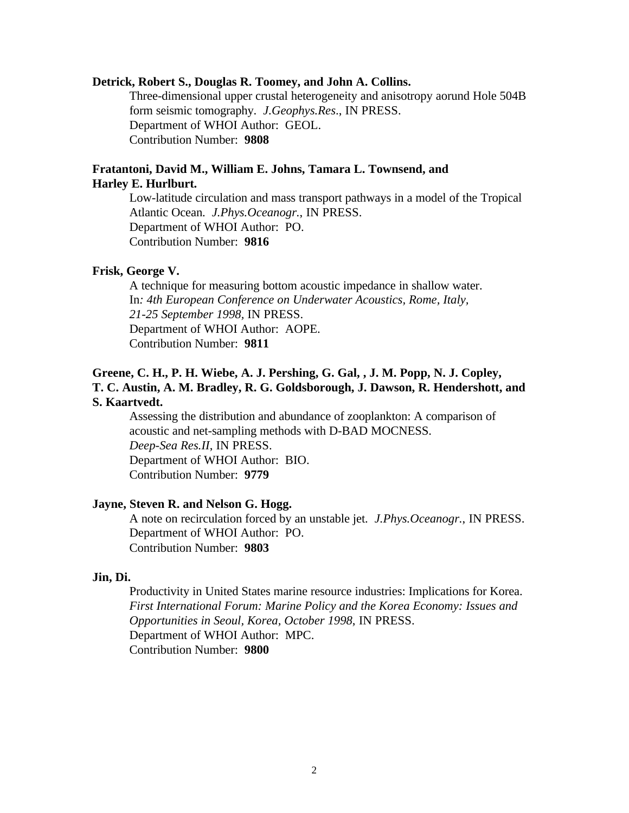#### **Detrick, Robert S., Douglas R. Toomey, and John A. Collins.**

Three-dimensional upper crustal heterogeneity and anisotropy aorund Hole 504B form seismic tomography. *J.Geophys.Res*., IN PRESS. Department of WHOI Author: GEOL. Contribution Number: **9808**

## **Fratantoni, David M., William E. Johns, Tamara L. Townsend, and Harley E. Hurlburt.**

Low-latitude circulation and mass transport pathways in a model of the Tropical Atlantic Ocean. *J.Phys.Oceanogr.*, IN PRESS. Department of WHOI Author: PO. Contribution Number: **9816**

#### **Frisk, George V.**

A technique for measuring bottom acoustic impedance in shallow water. In*: 4th European Conference on Underwater Acoustics, Rome, Italy, 21-25 September 1998,* IN PRESS. Department of WHOI Author: AOPE. Contribution Number: **9811**

## **Greene, C. H., P. H. Wiebe, A. J. Pershing, G. Gal, , J. M. Popp, N. J. Copley, T. C. Austin, A. M. Bradley, R. G. Goldsborough, J. Dawson, R. Hendershott, and S. Kaartvedt.**

Assessing the distribution and abundance of zooplankton: A comparison of acoustic and net-sampling methods with D-BAD MOCNESS. *Deep-Sea Res.II*, IN PRESS. Department of WHOI Author: BIO. Contribution Number: **9779**

#### **Jayne, Steven R. and Nelson G. Hogg.**

A note on recirculation forced by an unstable jet. *J.Phys.Oceanogr.*, IN PRESS. Department of WHOI Author: PO. Contribution Number: **9803**

#### **Jin, Di.**

Productivity in United States marine resource industries: Implications for Korea. *First International Forum: Marine Policy and the Korea Economy: Issues and Opportunities in Seoul, Korea, October 1998*, IN PRESS. Department of WHOI Author: MPC. Contribution Number: **9800**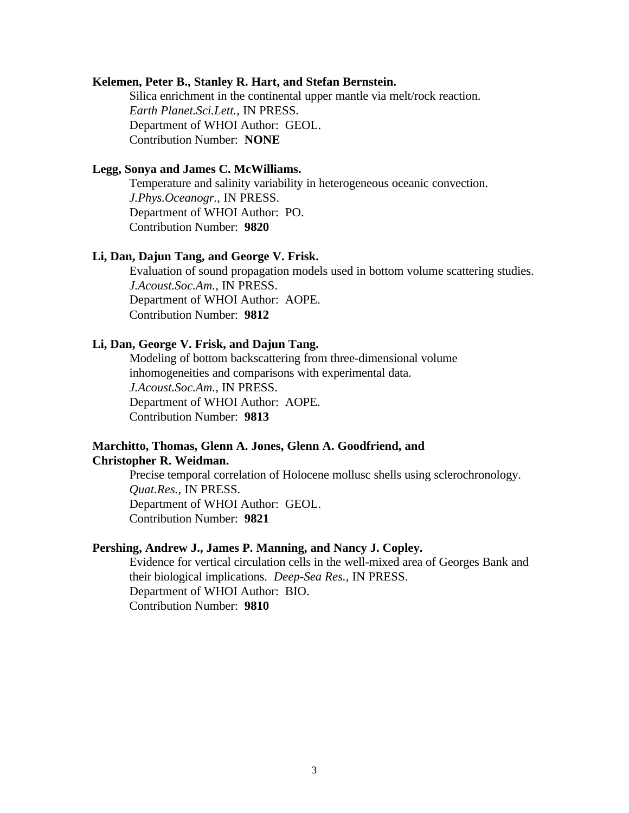#### **Kelemen, Peter B., Stanley R. Hart, and Stefan Bernstein.**

Silica enrichment in the continental upper mantle via melt/rock reaction. *Earth Planet.Sci.Lett.*, IN PRESS. Department of WHOI Author: GEOL. Contribution Number: **NONE**

## **Legg, Sonya and James C. McWilliams.**

Temperature and salinity variability in heterogeneous oceanic convection. *J.Phys.Oceanogr.*, IN PRESS. Department of WHOI Author: PO. Contribution Number: **9820**

#### **Li, Dan, Dajun Tang, and George V. Frisk.**

Evaluation of sound propagation models used in bottom volume scattering studies. *J.Acoust.Soc.Am.*, IN PRESS. Department of WHOI Author: AOPE. Contribution Number: **9812**

#### **Li, Dan, George V. Frisk, and Dajun Tang.**

Modeling of bottom backscattering from three-dimensional volume inhomogeneities and comparisons with experimental data. *J.Acoust.Soc.Am.*, IN PRESS. Department of WHOI Author: AOPE. Contribution Number: **9813**

## **Marchitto, Thomas, Glenn A. Jones, Glenn A. Goodfriend, and Christopher R. Weidman.**

Precise temporal correlation of Holocene mollusc shells using sclerochronology. *Quat.Res.*, IN PRESS. Department of WHOI Author: GEOL. Contribution Number: **9821**

## **Pershing, Andrew J., James P. Manning, and Nancy J. Copley.**

Evidence for vertical circulation cells in the well-mixed area of Georges Bank and their biological implications. *Deep-Sea Res.*, IN PRESS. Department of WHOI Author: BIO. Contribution Number: **9810**